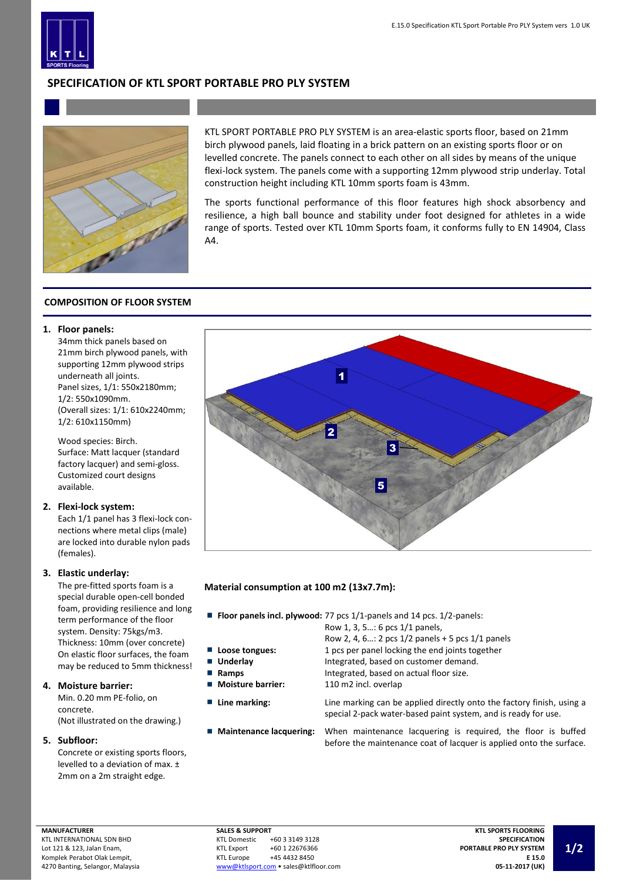

# **SPECIFICATION OF KTL SPORT PORTABLE PRO PLY SYSTEM**



KTL SPORT PORTABLE PRO PLY SYSTEM is an area-elastic sports floor, based on 21mm birch plywood panels, laid floating in a brick pattern on an existing sports floor or on levelled concrete. The panels connect to each other on all sides by means of the unique flexi-lock system. The panels come with a supporting 12mm plywood strip underlay. Total construction height including KTL 10mm sports foam is 43mm.

The sports functional performance of this floor features high shock absorbency and resilience, a high ball bounce and stability under foot designed for athletes in a wide range of sports. Tested over KTL 10mm Sports foam, it conforms fully to EN 14904, Class A4.

# **COMPOSITION OF FLOOR SYSTEM**

### **1. Floor panels:**

34mm thick panels based on 21mm birch plywood panels, with supporting 12mm plywood strips underneath all joints. Panel sizes, 1/1: 550x2180mm; 1/2: 550x1090mm. (Overall sizes: 1/1: 610x2240mm; 1/2: 610x1150mm)

Wood species: Birch. Surface: Matt lacquer (standard factory lacquer) and semi-gloss. Customized court designs available.

#### **2. Flexi-lock system:**

Each 1/1 panel has 3 flexi-lock connections where metal clips (male) are locked into durable nylon pads (females).

#### **3. Elastic underlay:**

The pre-fitted sports foam is a special durable open-cell bonded foam, providing resilience and long term performance of the floor system. Density: 75kgs/m3. Thickness: 10mm (over concrete) On elastic floor surfaces, the foam may be reduced to 5mm thickness!

#### **4. Moisture barrier:**

Min. 0.20 mm PE-folio, on concrete. (Not illustrated on the drawing.)

#### **5. Subfloor:**

Concrete or existing sports floors, levelled to a deviation of max. ± 2mm on a 2m straight edge.



# **Material consumption at 100 m2 (13x7.7m):**

**Floor panels incl. plywood:** 77 pcs 1/1-panels and 14 pcs. 1/2-panels:

Row 1, 3, 5…: 6 pcs 1/1 panels,

- Row 2, 4, 6…: 2 pcs 1/2 panels + 5 pcs 1/1 panels **Loose tongues:** 1 pcs per panel locking the end joints together
- **Underlay** Integrated, based on customer demand.
- **Ramps Integrated, based on actual floor size.**
- **Moisture barrier:** 110 m2 incl. overlap
- 

**Line marking:** Line marking can be applied directly onto the factory finish, using a special 2-pack water-based paint system, and is ready for use.

**Maintenance lacquering:** When maintenance lacquering is required, the floor is buffed before the maintenance coat of lacquer is applied onto the surface.

Lot 121 & 123, Jalan Enam, Komplek Perabot Olak Lempit, 4270 Banting, Selangor, Malaysia